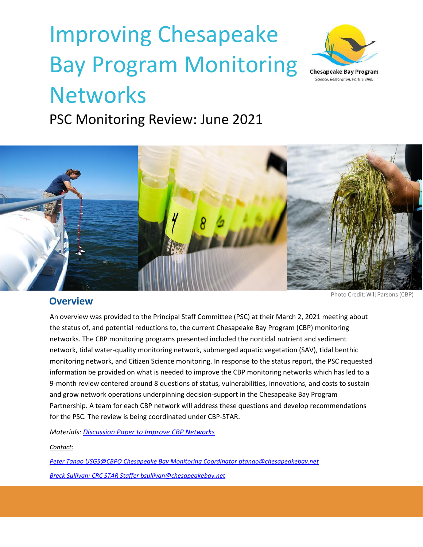# Improving Chesapeake Bay Program Monitoring **Networks**



PSC Monitoring Review: June 2021



#### **Overview**

Photo Credit: Will Parsons (CBP)

An overview was provided to the Principal Staff Committee (PSC) at their March 2, 2021 meeting about the status of, and potential reductions to, the current Chesapeake Bay Program (CBP) monitoring networks. The CBP monitoring programs presented included the nontidal nutrient and sediment network, tidal water-quality monitoring network, submerged aquatic vegetation (SAV), tidal benthic monitoring network, and Citizen Science monitoring. In response to the status report, the PSC requested information be provided on what is needed to improve the CBP monitoring networks which has led to a 9-month review centered around 8 questions of status, vulnerabilities, innovations, and costs to sustain and grow network operations underpinning decision-support in the Chesapeake Bay Program Partnership. A team for each CBP network will address these questions and develop recommendations for the PSC. The review is being coordinated under CBP-STAR.

*Materials: [Discussion Paper to Improve](https://www.chesapeakebay.net/channel_files/42990/discussion_paper_to_improve_cbp_networks_april_1_for_mb_submitted.pdf) CBP Networks*

*Contact:* 

*Peter Tango USGS@CBPO Chesapeake Bay Monitoring Coordinato[r ptango@chesapeakebay.net](mailto:ptango@chesapeakebay.net) Breck Sullivan: CRC STAR Staffe[r bsullivan@chesapeakebay.net](mailto:bsullivan@chesapeakebay.net)*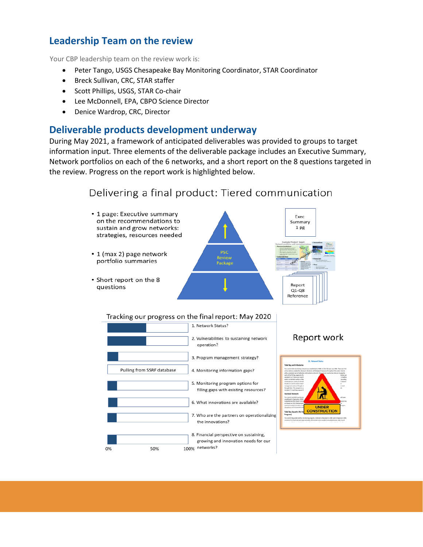## **Leadership Team on the review**

Your CBP leadership team on the review work is:

- Peter Tango, USGS Chesapeake Bay Monitoring Coordinator, STAR Coordinator
- Breck Sullivan, CRC, STAR staffer
- Scott Phillips, USGS, STAR Co-chair
- Lee McDonnell, EPA, CBPO Science Director
- Denice Wardrop, CRC, Director

#### **Deliverable products development underway**

During May 2021, a framework of anticipated deliverables was provided to groups to target information input. Three elements of the deliverable package includes an Executive Summary, Network portfolios on each of the 6 networks, and a short report on the 8 questions targeted in the review. Progress on the report work is highlighted below.

## Delivering a final product: Tiered communication



#### Tracking our progress on the final report: May 2020



#### Report work

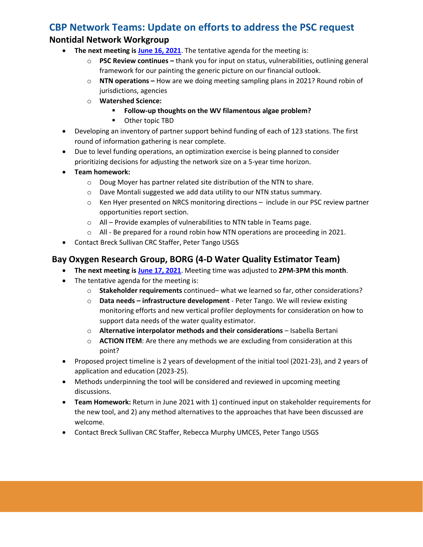## **CBP Network Teams: Update on efforts to address the PSC request**

#### **Nontidal Network Workgroup**

- **The next meeting is [June 16, 2021](https://www.chesapeakebay.net/what/event/nontidal_network_workgroup_june_2021_meeting)**. The tentative agenda for the meeting is:
	- o **PSC Review continues –** thank you for input on status, vulnerabilities, outlining general framework for our painting the generic picture on our financial outlook.
	- o **NTN operations –** How are we doing meeting sampling plans in 2021? Round robin of jurisdictions, agencies
	- o **Watershed Science:** 
		- **Follow-up thoughts on the WV filamentous algae problem?**
		- Other topic TBD
- Developing an inventory of partner support behind funding of each of 123 stations. The first round of information gathering is near complete.
- Due to level funding operations, an optimization exercise is being planned to consider prioritizing decisions for adjusting the network size on a 5-year time horizon.
- **Team homework:**
	- o Doug Moyer has partner related site distribution of the NTN to share.
	- o Dave Montali suggested we add data utility to our NTN status summary.
	- o Ken Hyer presented on NRCS monitoring directions include in our PSC review partner opportunities report section.
	- o All Provide examples of vulnerabilities to NTN table in Teams page.
	- o All Be prepared for a round robin how NTN operations are proceeding in 2021.
- Contact Breck Sullivan CRC Staffer, Peter Tango USGS

### **Bay Oxygen Research Group, BORG (4-D Water Quality Estimator Team)**

- **The next meeting is [June 17, 2021](https://www.chesapeakebay.net/what/event/bay_oxygen_research_group_june_2021_meeting)**. Meeting time was adjusted to **2PM-3PM this month**.
- The tentative agenda for the meeting is:
	- o **Stakeholder requirements** continued– what we learned so far, other considerations?
	- o **Data needs – infrastructure development** Peter Tango. We will review existing monitoring efforts and new vertical profiler deployments for consideration on how to support data needs of the water quality estimator.
	- o **Alternative interpolator methods and their considerations**  Isabella Bertani
	- o **ACTION ITEM**: Are there any methods we are excluding from consideration at this point?
- Proposed project timeline is 2 years of development of the initial tool (2021-23), and 2 years of application and education (2023-25).
- Methods underpinning the tool will be considered and reviewed in upcoming meeting discussions.
- **Team Homework:** Return in June 2021 with 1) continued input on stakeholder requirements for the new tool, and 2) any method alternatives to the approaches that have been discussed are welcome.
- Contact Breck Sullivan CRC Staffer, Rebecca Murphy UMCES, Peter Tango USGS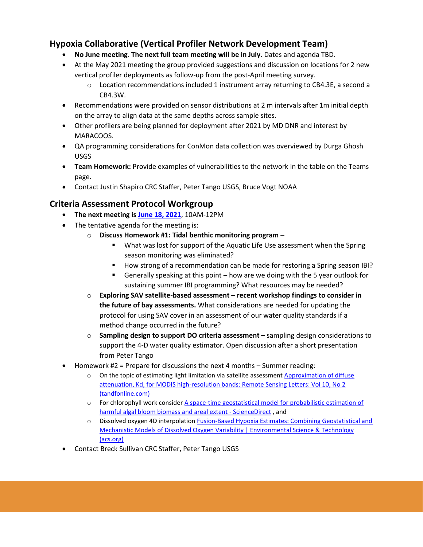#### **Hypoxia Collaborative (Vertical Profiler Network Development Team)**

- **No June meeting**. **The next full team meeting will be in July**. Dates and agenda TBD.
- At the May 2021 meeting the group provided suggestions and discussion on locations for 2 new vertical profiler deployments as follow-up from the post-April meeting survey.
	- $\circ$  Location recommendations included 1 instrument array returning to CB4.3E, a second a CB4.3W.
- Recommendations were provided on sensor distributions at 2 m intervals after 1m initial depth on the array to align data at the same depths across sample sites.
- Other profilers are being planned for deployment after 2021 by MD DNR and interest by MARACOOS.
- QA programming considerations for ConMon data collection was overviewed by Durga Ghosh USGS
- **Team Homework:** Provide examples of vulnerabilities to the network in the table on the Teams page.
- Contact Justin Shapiro CRC Staffer, Peter Tango USGS, Bruce Vogt NOAA

#### **Criteria Assessment Protocol Workgroup**

- **The next meeting is [June 18, 2021](https://www.chesapeakebay.net/what/event/criteria_assessment_protocol_workgroup_june_2021_meeting)**, 10AM-12PM
- The tentative agenda for the meeting is:
	- o **Discuss Homework #1: Tidal benthic monitoring program –**
		- What was lost for support of the Aquatic Life Use assessment when the Spring season monitoring was eliminated?
		- How strong of a recommendation can be made for restoring a Spring season IBI?
		- Generally speaking at this point how are we doing with the 5 year outlook for sustaining summer IBI programming? What resources may be needed?
	- o **Exploring SAV satellite-based assessment – recent workshop findings to consider in the future of bay assessments.** What considerations are needed for updating the protocol for using SAV cover in an assessment of our water quality standards if a method change occurred in the future?
	- o **Sampling design to support DO criteria assessment –** sampling design considerations to support the 4-D water quality estimator. Open discussion after a short presentation from Peter Tango
- Homework #2 = Prepare for discussions the next 4 months Summer reading:
	- $\circ$  On the topic of estimating light limitation via satellite assessment Approximation of diffuse [attenuation, Kd, for MODIS high-resolution bands: Remote Sensing Letters: Vol 10, No 2](https://www.tandfonline.com/doi/full/10.1080/2150704X.2018.1536301)  [\(tandfonline.com\)](https://www.tandfonline.com/doi/full/10.1080/2150704X.2018.1536301)
	- o For chlorophyll work consider [A space-time geostatistical model for probabilistic estimation of](https://www.sciencedirect.com/science/article/abs/pii/S0048969719337179?via%3Dihub)  [harmful algal bloom biomass and areal extent -](https://www.sciencedirect.com/science/article/abs/pii/S0048969719337179?via%3Dihub) ScienceDirect , and
	- o Dissolved oxygen 4D interpolation [Fusion-Based Hypoxia Estimates: Combining Geostatistical and](https://pubs.acs.org/doi/10.1021/acs.est.0c03655)  Mechanistic Models of Dissolved Oxygen Variability | Environmental Science & Technology [\(acs.org\)](https://pubs.acs.org/doi/10.1021/acs.est.0c03655)
- Contact Breck Sullivan CRC Staffer, Peter Tango USGS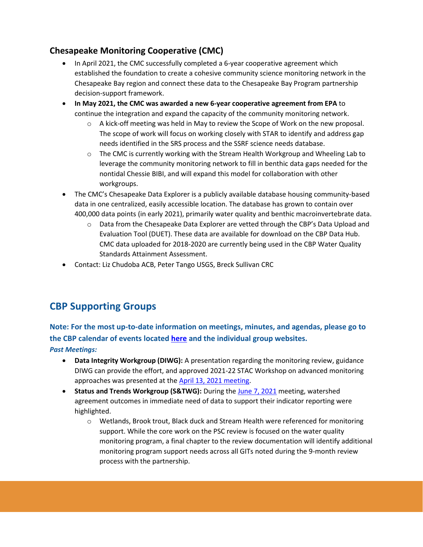### **Chesapeake Monitoring Cooperative (CMC)**

- In April 2021, the CMC successfully completed a 6-year cooperative agreement which established the foundation to create a cohesive community science monitoring network in the Chesapeake Bay region and connect these data to the Chesapeake Bay Program partnership decision-support framework.
- **In May 2021, the CMC was awarded a new 6-year cooperative agreement from EPA** to continue the integration and expand the capacity of the community monitoring network.
	- $\circ$  A kick-off meeting was held in May to review the Scope of Work on the new proposal. The scope of work will focus on working closely with STAR to identify and address gap needs identified in the SRS process and the SSRF science needs database.
	- $\circ$  The CMC is currently working with the Stream Health Workgroup and Wheeling Lab to leverage the community monitoring network to fill in benthic data gaps needed for the nontidal Chessie BIBI, and will expand this model for collaboration with other workgroups.
- The CMC's Chesapeake Data Explorer is a publicly available database housing community-based data in one centralized, easily accessible location. The database has grown to contain over 400,000 data points (in early 2021), primarily water quality and benthic macroinvertebrate data.
	- o Data from the Chesapeake Data Explorer are vetted through the CBP's Data Upload and Evaluation Tool (DUET). These data are available for download on the CBP Data Hub. CMC data uploaded for 2018-2020 are currently being used in the CBP Water Quality Standards Attainment Assessment.
- Contact: Liz Chudoba ACB, Peter Tango USGS, Breck Sullivan CRC

# **CBP Supporting Groups**

# **Note: For the most up-to-date information on meetings, minutes, and agendas, please go to the CBP calendar of events located [here](https://www.chesapeakebay.net/what/calendar) and the individual group websites.**

#### *Past Meetings:*

- **Data Integrity Workgroup (DIWG):** A presentation regarding the monitoring review, guidance DIWG can provide the effort, and approved 2021-22 STAC Workshop on advanced monitoring approaches was presented at the [April 13, 2021 meeting.](https://www.chesapeakebay.net/what/event/data_integrity_workgroup_april_2021_meeting)
- **Status and Trends Workgroup (S&TWG):** During the [June 7, 2021](https://www.chesapeakebay.net/what/event/status_and_trends_workgroup_june_2021_meeting) meeting, watershed agreement outcomes in immediate need of data to support their indicator reporting were highlighted.
	- o Wetlands, Brook trout, Black duck and Stream Health were referenced for monitoring support. While the core work on the PSC review is focused on the water quality monitoring program, a final chapter to the review documentation will identify additional monitoring program support needs across all GITs noted during the 9-month review process with the partnership.